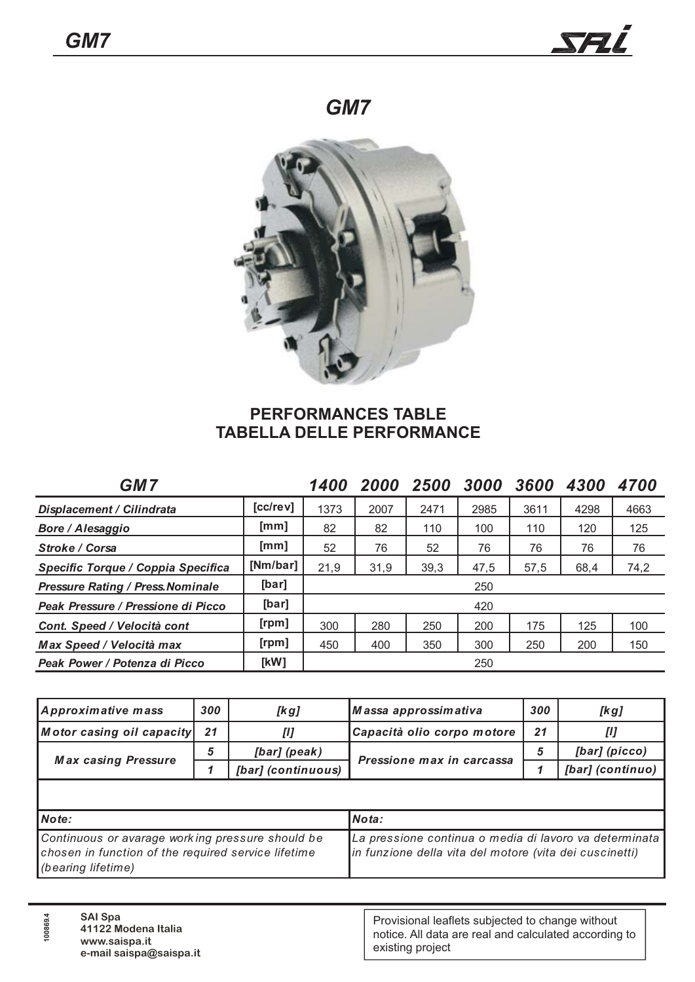



## **PERFORMANCES TABLE TABELLA DELLE PERFORMANCE**

| <b>GM7</b>                               |                | <b>1400</b> | 2000 | 2500 | 3000 | 3600 | 4300 | 4700 |
|------------------------------------------|----------------|-------------|------|------|------|------|------|------|
| Displacement / Cilindrata                | [cc/rev]       | 1373        | 2007 | 2471 | 2985 | 3611 | 4298 | 4663 |
| Bore / Alesaggio                         | [mm]           | 82          | 82   | 110  | 100  | 110  | 120  | 125  |
| <b>Stroke / Corsa</b>                    | [mm]           | 52          | 76   | 52   | 76   | 76   | 76   | 76   |
| Specific Torque / Coppia Specifica       | [Nm/bar]       | 21,9        | 31,9 | 39,3 | 47,5 | 57,5 | 68,4 | 74,2 |
| <b>Pressure Rating / Press. Nominale</b> | [bar]          | 250         |      |      |      |      |      |      |
| Peak Pressure / Pressione di Picco       | [bar]          | 420         |      |      |      |      |      |      |
| Cont. Speed / Velocità cont              | [ <i>rpm</i> ] | 300         | 280  | 250  | 200  | 175  | 125  | 100  |
| Max Speed / Velocità max                 | [rpm]          | 450         | 400  | 350  | 300  | 250  | 200  | 150  |
| Peak Power / Potenza di Picco            | [kW]           |             |      |      | 250  |      |      |      |

| Approximative mass                                                                                                            | 300 | [kg]                                                                                                              | Massa approssimativa       | 300 | [kg]             |  |
|-------------------------------------------------------------------------------------------------------------------------------|-----|-------------------------------------------------------------------------------------------------------------------|----------------------------|-----|------------------|--|
| Motor casing oil capacity                                                                                                     | 21  | [1]                                                                                                               | Capacità olio corpo motore | 21  | [1]              |  |
| <b>Max casing Pressure</b>                                                                                                    | 5   | [bar] (peak)                                                                                                      |                            | 5   | [bar] (picco)    |  |
|                                                                                                                               |     | [bar] (continuous)                                                                                                | Pressione max in carcassa  |     | [bar] (continuo) |  |
|                                                                                                                               |     |                                                                                                                   |                            |     |                  |  |
| Note:                                                                                                                         |     |                                                                                                                   | Nota:                      |     |                  |  |
| Continuous or avarage working pressure should be<br>chosen in function of the required service lifetime<br>(bearing lifetime) |     | La pressione continua o media di lavoro va determinata<br>in funzione della vita del motore (vita dei cuscinetti) |                            |     |                  |  |